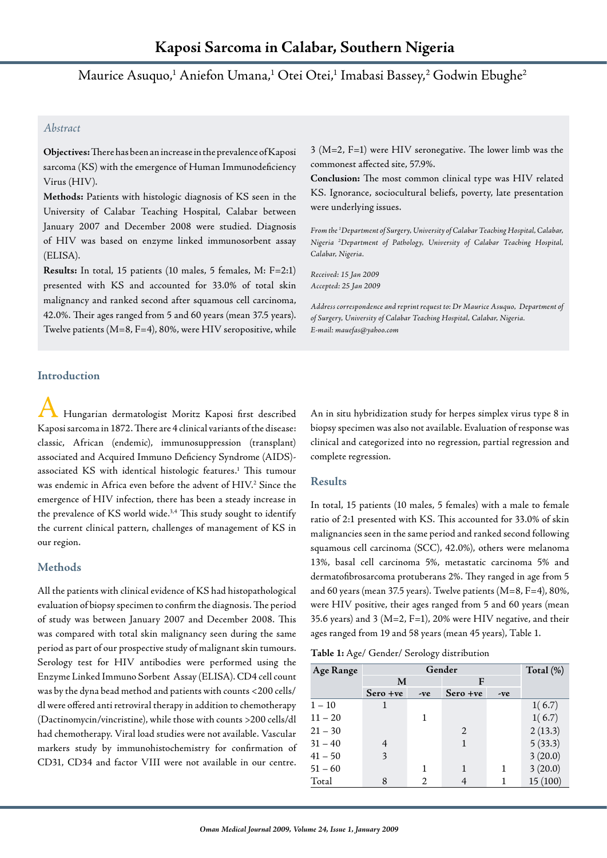Maurice Asuquo, $^1$  Aniefon Umana, $^1$  Otei Otei, $^1$  Imabasi Bassey, $^2$  Godwin Ebughe $^2$ 

# *Abstract*

**Objectives:** There has been an increase in the prevalence of Kaposi sarcoma (KS) with the emergence of Human Immunodeficiency Virus (HIV).

**Methods:** Patients with histologic diagnosis of KS seen in the University of Calabar Teaching Hospital, Calabar between January 2007 and December 2008 were studied. Diagnosis of HIV was based on enzyme linked immunosorbent assay (ELISA).

**Results:** In total, 15 patients (10 males, 5 females, M: F=2:1) presented with KS and accounted for 33.0% of total skin malignancy and ranked second after squamous cell carcinoma, 42.0%. Their ages ranged from 5 and 60 years (mean 37.5 years). Twelve patients (M=8, F=4), 80%, were HIV seropositive, while 3 (M=2, F=1) were HIV seronegative. The lower limb was the commonest affected site, 57.9%.

**Conclusion:** The most common clinical type was HIV related KS. Ignorance, sociocultural beliefs, poverty, late presentation were underlying issues.

*From the 1 Department of Surgery, University of Calabar Teaching Hospital, Calabar, Nigeria 2 Department of Pathology, University of Calabar Teaching Hospital, Calabar, Nigeria.*

*Received: 15 Jan 2009 Accepted: 25 Jan 2009*

*Address correspondence and reprint request to: Dr Maurice Asuquo, Department of of Surgery, University of Calabar Teaching Hospital, Calabar, Nigeria. E-mail: mauefas@yahoo.com*

## **Introduction**

A Hungarian dermatologist Moritz Kaposi first described Kaposi sarcoma in 1872. There are 4 clinical variants of the disease: classic, African (endemic), immunosuppression (transplant) associated and Acquired Immuno Deficiency Syndrome (AIDS) associated KS with identical histologic features.<sup>1</sup> This tumour was endemic in Africa even before the advent of HIV.2 Since the emergence of HIV infection, there has been a steady increase in the prevalence of KS world wide.<sup>3,4</sup> This study sought to identify the current clinical pattern, challenges of management of KS in our region.

## **Methods**

All the patients with clinical evidence of KS had histopathological evaluation of biopsy specimen to confirm the diagnosis. The period of study was between January 2007 and December 2008. This was compared with total skin malignancy seen during the same period as part of our prospective study of malignant skin tumours. Serology test for HIV antibodies were performed using the Enzyme Linked Immuno Sorbent Assay (ELISA). CD4 cell count was by the dyna bead method and patients with counts <200 cells/ dl were offered anti retroviral therapy in addition to chemotherapy (Dactinomycin/vincristine), while those with counts >200 cells/dl had chemotherapy. Viral load studies were not available. Vascular markers study by immunohistochemistry for confirmation of CD31, CD34 and factor VIII were not available in our centre.

An in situ hybridization study for herpes simplex virus type 8 in biopsy specimen was also not available. Evaluation of response was clinical and categorized into no regression, partial regression and complete regression.

### **Results**

In total, 15 patients (10 males, 5 females) with a male to female ratio of 2:1 presented with KS. This accounted for 33.0% of skin malignancies seen in the same period and ranked second following squamous cell carcinoma (SCC), 42.0%), others were melanoma 13%, basal cell carcinoma 5%, metastatic carcinoma 5% and dermatofibrosarcoma protuberans 2%. They ranged in age from 5 and 60 years (mean 37.5 years). Twelve patients (M=8, F=4), 80%, were HIV positive, their ages ranged from 5 and 60 years (mean 35.6 years) and 3 ( $M=2$ , F=1), 20% were HIV negative, and their ages ranged from 19 and 58 years (mean 45 years), Table 1.

**Table 1:** Age/ Gender/ Serology distribution

| Age Range | Gender   |     |          |     | Total $(\%)$ |
|-----------|----------|-----|----------|-----|--------------|
|           | M        |     | F        |     |              |
|           | Sero +ve | -ve | Sero +ve | -ve |              |
| $1 - 10$  | 1        |     |          |     | 1(6.7)       |
| $11 - 20$ |          | 1   |          |     | 1(6.7)       |
| $21 - 30$ |          |     | 2        |     | 2(13.3)      |
| $31 - 40$ |          |     | 1        |     | 5(33.3)      |
| $41 - 50$ | 3        |     |          |     | 3(20.0)      |
| $51 - 60$ |          | 1   | 1        | 1   | 3(20.0)      |
| Total     | 8        | 2   | 4        |     | 15(100)      |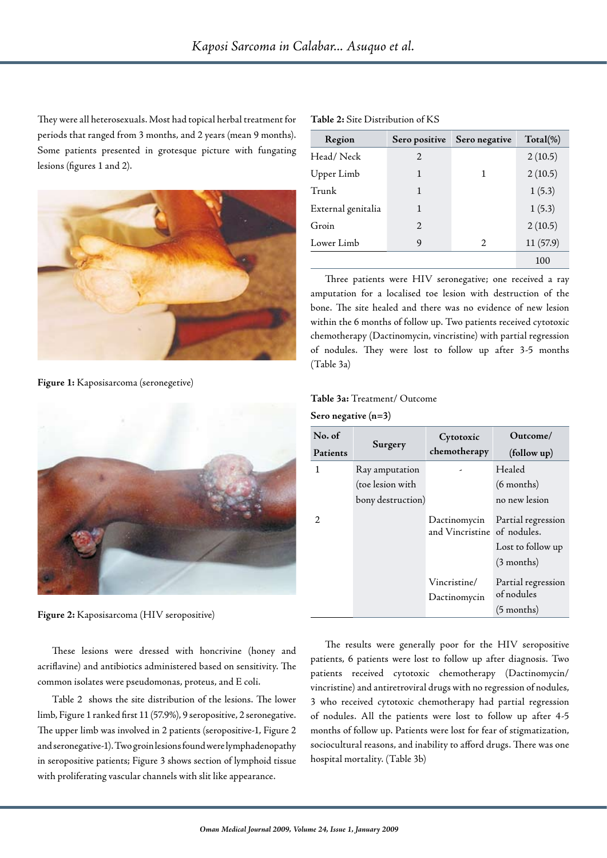They were all heterosexuals. Most had topical herbal treatment for periods that ranged from 3 months, and 2 years (mean 9 months). Some patients presented in grotesque picture with fungating lesions (figures 1 and 2).



**Figure 1:** Kaposisarcoma (seronegetive)



**Figure 2:** Kaposisarcoma (HIV seropositive)

These lesions were dressed with honcrivine (honey and acriflavine) and antibiotics administered based on sensitivity. The common isolates were pseudomonas, proteus, and E coli.

Table 2 shows the site distribution of the lesions. The lower limb, Figure 1 ranked first 11 (57.9%), 9 seropositive, 2 seronegative. The upper limb was involved in 2 patients (seropositive-1, Figure 2 and seronegative-1). Two groin lesions found were lymphadenopathy in seropositive patients; Figure 3 shows section of lymphoid tissue with proliferating vascular channels with slit like appearance.

| Table 2: Site Distribution of KS |  |  |  |
|----------------------------------|--|--|--|
|----------------------------------|--|--|--|

| Region             | Sero positive  | Sero negative  | $Total(\%)$ |
|--------------------|----------------|----------------|-------------|
| Head/Neck          | 2              |                | 2(10.5)     |
| Upper Limb         | 1              | 1              | 2(10.5)     |
| Trunk              | 1              |                | 1(5.3)      |
| External genitalia | 1              |                | 1(5.3)      |
| Groin              | $\mathfrak{D}$ |                | 2(10.5)     |
| Lower Limb         | 9              | $\mathfrak{D}$ | 11 (57.9)   |
|                    |                |                | 100         |

Three patients were HIV seronegative; one received a ray amputation for a localised toe lesion with destruction of the bone. The site healed and there was no evidence of new lesion within the 6 months of follow up. Two patients received cytotoxic chemotherapy (Dactinomycin, vincristine) with partial regression of nodules. They were lost to follow up after 3-5 months (Table 3a)

## **Table 3a:** Treatment/ Outcome

#### **Sero negative (n=3)**

| No. of<br>Patients | Surgery                                                 | Cytotoxic<br>chemotherapy    | Outcome/<br>(follow up)                                       |
|--------------------|---------------------------------------------------------|------------------------------|---------------------------------------------------------------|
| 1<br>2.            | Ray amputation<br>(toe lesion with<br>bony destruction) | Dactinomycin                 | Healed<br>$(6$ months)<br>no new lesion<br>Partial regression |
|                    |                                                         | and Vincristine of nodules.  | Lost to follow up<br>$(3$ months)                             |
|                    |                                                         | Vincristine/<br>Dactinomycin | Partial regression<br>of nodules<br>$(5$ months)              |

The results were generally poor for the HIV seropositive patients, 6 patients were lost to follow up after diagnosis. Two patients received cytotoxic chemotherapy (Dactinomycin/ vincristine) and antiretroviral drugs with no regression of nodules, 3 who received cytotoxic chemotherapy had partial regression of nodules. All the patients were lost to follow up after 4-5 months of follow up. Patients were lost for fear of stigmatization, sociocultural reasons, and inability to afford drugs. There was one hospital mortality. (Table 3b)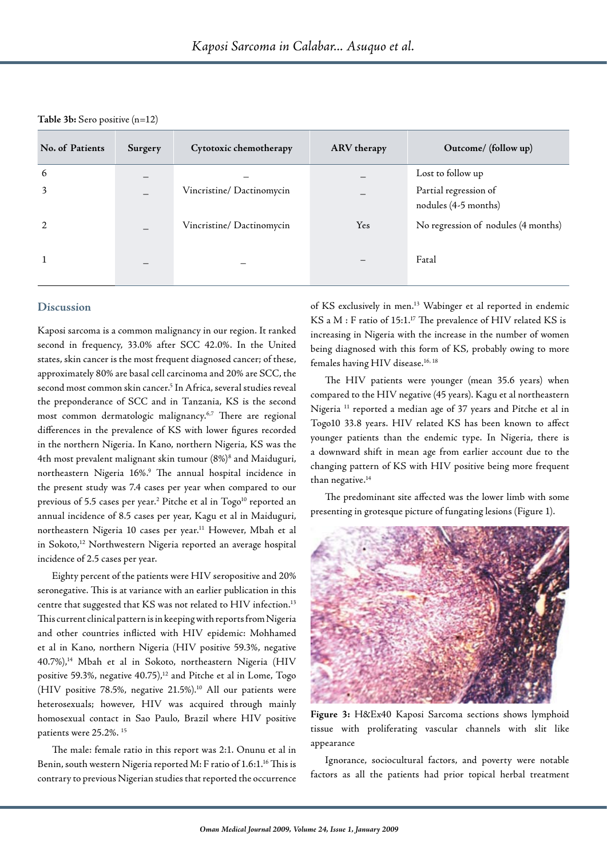**Table 3b:** Sero positive (n=12)

| No. of Patients | Surgery | Cytotoxic chemotherapy   | ARV therapy | Outcome/ (follow up)                          |
|-----------------|---------|--------------------------|-------------|-----------------------------------------------|
| 6               | —       |                          |             | Lost to follow up                             |
| 3               | —       | Vincristine/Dactinomycin |             | Partial regression of<br>nodules (4-5 months) |
| 2               |         | Vincristine/Dactinomycin | Yes         | No regression of nodules (4 months)           |
|                 |         |                          |             | Fatal                                         |

## **Discussion**

Kaposi sarcoma is a common malignancy in our region. It ranked second in frequency, 33.0% after SCC 42.0%. In the United states, skin cancer is the most frequent diagnosed cancer; of these, approximately 80% are basal cell carcinoma and 20% are SCC, the second most common skin cancer.5 In Africa, several studies reveal the preponderance of SCC and in Tanzania, KS is the second most common dermatologic malignancy.6,7 There are regional differences in the prevalence of KS with lower figures recorded in the northern Nigeria. In Kano, northern Nigeria, KS was the 4th most prevalent malignant skin tumour (8%)8 and Maiduguri, northeastern Nigeria 16%. 9 The annual hospital incidence in the present study was 7.4 cases per year when compared to our previous of 5.5 cases per year. $^2$  Pitche et al in Togo $^{\rm 10}$  reported an annual incidence of 8.5 cases per year, Kagu et al in Maiduguri, northeastern Nigeria 10 cases per year.<sup>11</sup> However, Mbah et al in Sokoto,<sup>12</sup> Northwestern Nigeria reported an average hospital incidence of 2.5 cases per year.

Eighty percent of the patients were HIV seropositive and 20% seronegative. This is at variance with an earlier publication in this centre that suggested that KS was not related to HIV infection.<sup>13</sup> This current clinical pattern is in keeping with reports from Nigeria and other countries inflicted with HIV epidemic: Mohhamed et al in Kano, northern Nigeria (HIV positive 59.3%, negative 40.7%),<sup>14</sup> Mbah et al in Sokoto, northeastern Nigeria (HIV positive 59.3%, negative  $40.75$ ), $^{12}$  and Pitche et al in Lome, Togo (HIV positive 78.5%, negative 21.5%).<sup>10</sup> All our patients were heterosexuals; however, HIV was acquired through mainly homosexual contact in Sao Paulo, Brazil where HIV positive patients were 25.2%. 15

The male: female ratio in this report was 2:1. Onunu et al in Benin, south western Nigeria reported M: F ratio of 1.6:1.<sup>16</sup> This is contrary to previous Nigerian studies that reported the occurrence

of KS exclusively in men. 13 Wabinger et al reported in endemic KS a M : F ratio of 15:1. <sup>17</sup> The prevalence of HIV related KS is increasing in Nigeria with the increase in the number of women being diagnosed with this form of KS, probably owing to more females having HIV disease.<sup>16, 18</sup>

The HIV patients were younger (mean 35.6 years) when compared to the HIV negative (45 years). Kagu et al northeastern Nigeria 11 reported a median age of 37 years and Pitche et al in Togo10 33.8 years. HIV related KS has been known to affect younger patients than the endemic type. In Nigeria, there is a downward shift in mean age from earlier account due to the changing pattern of KS with HIV positive being more frequent than negative.<sup>14</sup>

The predominant site affected was the lower limb with some presenting in grotesque picture of fungating lesions (Figure 1).



**Figure 3:** H&Ex40 Kaposi Sarcoma sections shows lymphoid tissue with proliferating vascular channels with slit like appearance

Ignorance, sociocultural factors, and poverty were notable factors as all the patients had prior topical herbal treatment